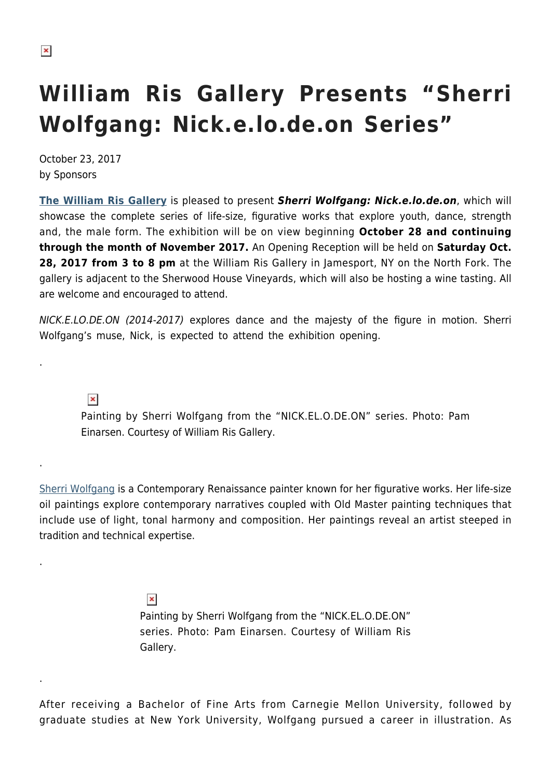## **William Ris Gallery Presents "Sherri Wolfgang: Nick.e.lo.de.on Series"**

October 23, 2017 by Sponsors

**[The William Ris Gallery](http://www.williamris.com/)** is pleased to present *Sherri Wolfgang: Nick.e.lo.de.on*, which will showcase the complete series of life-size, figurative works that explore youth, dance, strength and, the male form. The exhibition will be on view beginning **October 28 and continuing through the month of November 2017.** An Opening Reception will be held on **Saturday Oct. 28, 2017 from 3 to 8 pm** at the William Ris Gallery in Jamesport, NY on the North Fork. The gallery is adjacent to the Sherwood House Vineyards, which will also be hosting a wine tasting. All are welcome and encouraged to attend.

NICK.E.LO.DE.ON (2014-2017) explores dance and the majesty of the figure in motion. Sherri Wolfgang's muse, Nick, is expected to attend the exhibition opening.

 $\pmb{\times}$ 

.

.

.

.

Painting by Sherri Wolfgang from the "NICK.EL.O.DE.ON" series. Photo: Pam Einarsen. Courtesy of William Ris Gallery.

[Sherri Wolfgang](https://www.sherriwolfgang.com/) is a Contemporary Renaissance painter known for her figurative works. Her life-size oil paintings explore contemporary narratives coupled with Old Master painting techniques that include use of light, tonal harmony and composition. Her paintings reveal an artist steeped in tradition and technical expertise.

> $\pmb{\times}$ Painting by Sherri Wolfgang from the "NICK.EL.O.DE.ON" series. Photo: Pam Einarsen. Courtesy of William Ris Gallery.

After receiving a Bachelor of Fine Arts from Carnegie Mellon University, followed by graduate studies at New York University, Wolfgang pursued a career in illustration. As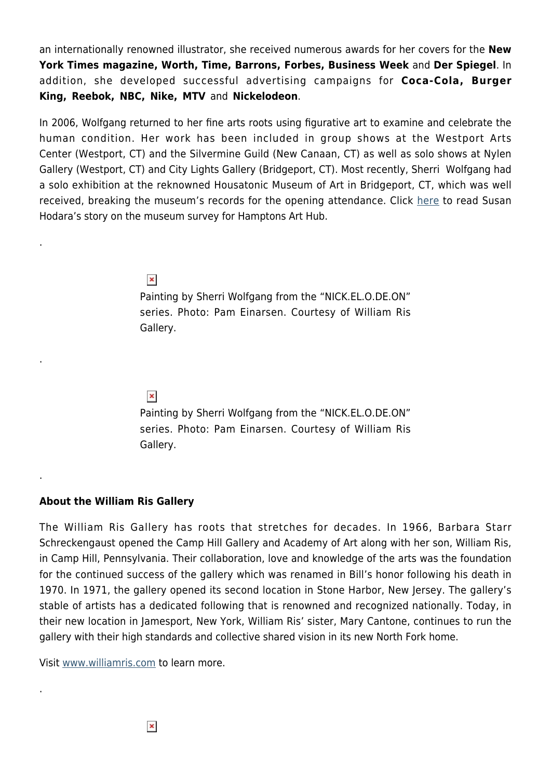an internationally renowned illustrator, she received numerous awards for her covers for the **New York Times magazine, Worth, Time, Barrons, Forbes, Business Week** and **Der Spiegel**. In addition, she developed successful advertising campaigns for **Coca-Cola, Burger King, Reebok, NBC, Nike, MTV** and **Nickelodeon**.

In 2006, Wolfgang returned to her fine arts roots using figurative art to examine and celebrate the human condition. Her work has been included in group shows at the Westport Arts Center (Westport, CT) and the Silvermine Guild (New Canaan, CT) as well as solo shows at Nylen Gallery (Westport, CT) and City Lights Gallery (Bridgeport, CT). Most recently, Sherri Wolfgang had a solo exhibition at the reknowned Housatonic Museum of Art in Bridgeport, CT, which was well received, breaking the museum's records for the opening attendance. Click [here](https://hamptonsarthub.com/2017/07/10/features-figurative-paintings-by-sherri-wolfgang-explore-body-image-at-housatonic-museum-of-art/) to read Susan Hodara's story on the museum survey for Hamptons Art Hub.

## $\pmb{\times}$

.

.

.

.

Painting by Sherri Wolfgang from the "NICK.EL.O.DE.ON" series. Photo: Pam Einarsen. Courtesy of William Ris Gallery.

## $\pmb{\times}$

Painting by Sherri Wolfgang from the "NICK.EL.O.DE.ON" series. Photo: Pam Einarsen. Courtesy of William Ris Gallery.

## **About the William Ris Gallery**

The William Ris Gallery has roots that stretches for decades. In 1966, Barbara Starr Schreckengaust opened the Camp Hill Gallery and Academy of Art along with her son, William Ris, in Camp Hill, Pennsylvania. Their collaboration, love and knowledge of the arts was the foundation for the continued success of the gallery which was renamed in Bill's honor following his death in 1970. In 1971, the gallery opened its second location in Stone Harbor, New Jersey. The gallery's stable of artists has a dedicated following that is renowned and recognized nationally. Today, in their new location in Jamesport, New York, William Ris' sister, Mary Cantone, continues to run the gallery with their high standards and collective shared vision in its new North Fork home.

Visit [www.williamris.com](http://www.williamris.com) to learn more.

 $\pmb{\times}$